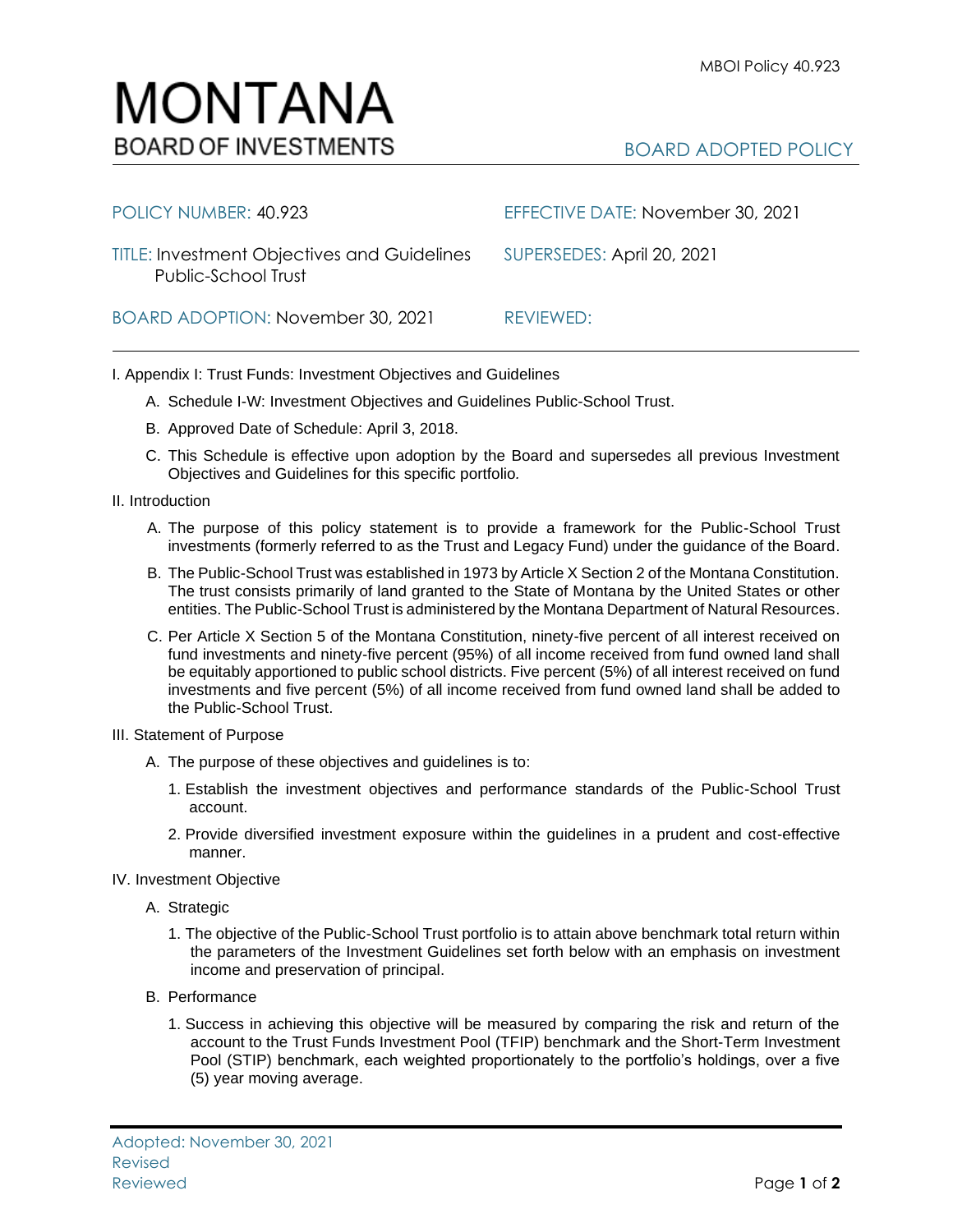## BOARD ADOPTED POLICY

| POLICY NUMBER: 40.923                                                     | EFFECTIVE DATE: November 30, 2021 |
|---------------------------------------------------------------------------|-----------------------------------|
| <b>TITLE: Investment Objectives and Guidelines</b><br>Public-School Trust | SUPERSEDES: April 20, 2021        |
| BOARD ADOPTION: November 30, 2021                                         | REVIEWED:                         |

I. Appendix I: Trust Funds: Investment Objectives and Guidelines

- A. Schedule I-W: Investment Objectives and Guidelines Public-School Trust.
- B. Approved Date of Schedule: April 3, 2018.
- C. This Schedule is effective upon adoption by the Board and supersedes all previous Investment Objectives and Guidelines for this specific portfolio*.*
- II. Introduction
	- A. The purpose of this policy statement is to provide a framework for the Public-School Trust investments (formerly referred to as the Trust and Legacy Fund) under the guidance of the Board.
	- B. The Public-School Trust was established in 1973 by Article X Section 2 of the Montana Constitution. The trust consists primarily of land granted to the State of Montana by the United States or other entities. The Public-School Trust is administered by the Montana Department of Natural Resources.
	- C. Per Article X Section 5 of the Montana Constitution, ninety-five percent of all interest received on fund investments and ninety-five percent (95%) of all income received from fund owned land shall be equitably apportioned to public school districts. Five percent (5%) of all interest received on fund investments and five percent (5%) of all income received from fund owned land shall be added to the Public-School Trust.
- III. Statement of Purpose
	- A. The purpose of these objectives and guidelines is to:
		- 1. Establish the investment objectives and performance standards of the Public-School Trust account.
		- 2. Provide diversified investment exposure within the guidelines in a prudent and cost-effective manner.
- IV. Investment Objective
	- A. Strategic
		- 1. The objective of the Public-School Trust portfolio is to attain above benchmark total return within the parameters of the Investment Guidelines set forth below with an emphasis on investment income and preservation of principal.
	- B. Performance
		- 1. Success in achieving this objective will be measured by comparing the risk and return of the account to the Trust Funds Investment Pool (TFIP) benchmark and the Short-Term Investment Pool (STIP) benchmark, each weighted proportionately to the portfolio's holdings, over a five (5) year moving average.